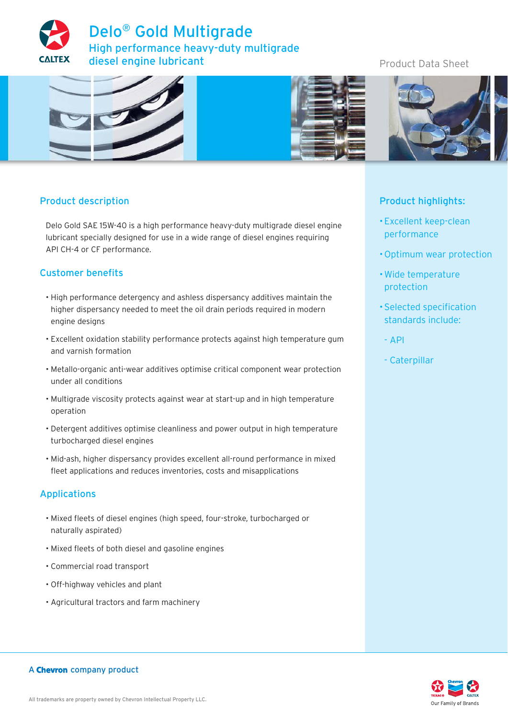

# Product Data Sheet



## Product description

Delo Gold SAE 15W-40 is a high performance heavy-duty multigrade diesel engine lubricant specially designed for use in a wide range of diesel engines requiring API CH-4 or CF performance.

## Customer benefits

- High performance detergency and ashless dispersancy additives maintain the higher dispersancy needed to meet the oil drain periods required in modern engine designs
- Excellent oxidation stability performance protects against high temperature gum and varnish formation
- Metallo-organic anti-wear additives optimise critical component wear protection under all conditions
- Multigrade viscosity protects against wear at start-up and in high temperature operation
- Detergent additives optimise cleanliness and power output in high temperature turbocharged diesel engines
- Mid-ash, higher dispersancy provides excellent all-round performance in mixed fleet applications and reduces inventories, costs and misapplications

### Applications

- Mixed fleets of diesel engines (high speed, four-stroke, turbocharged or naturally aspirated)
- Mixed fleets of both diesel and gasoline engines
- Commercial road transport
- Off-highway vehicles and plant
- Agricultural tractors and farm machinery



## Product highlights:

- Excellent keep-clean performance
- Optimum wear protection
- Wide temperature protection
- Selected specification standards include:
- API
- Caterpillar



#### A Chevron company product